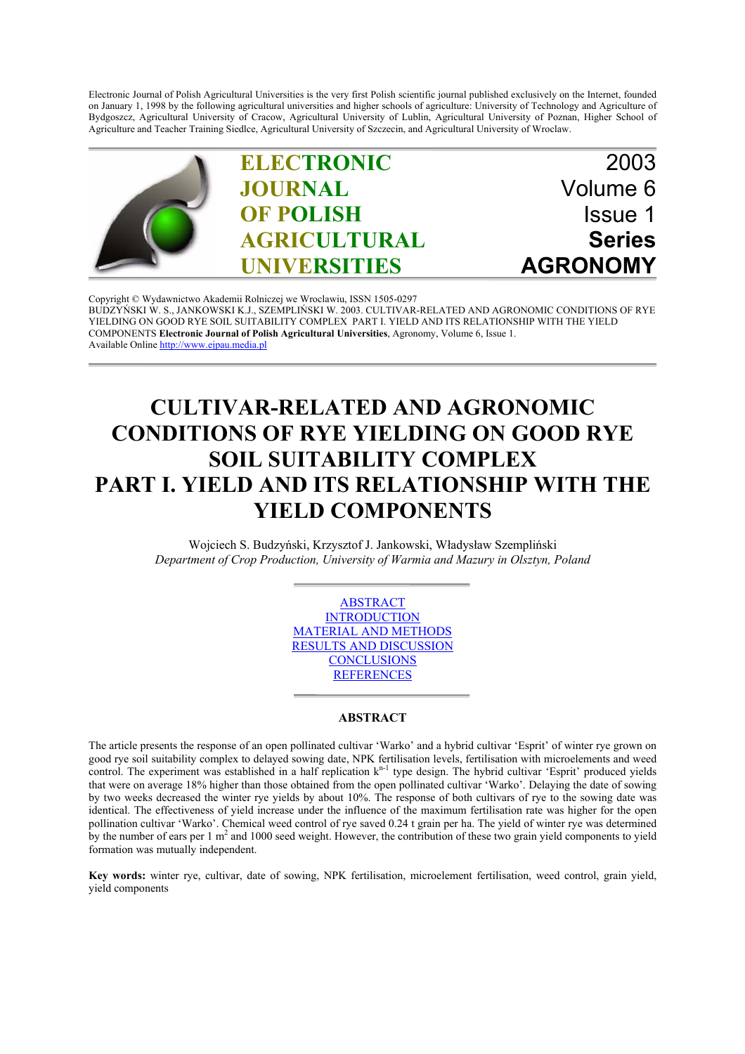Electronic Journal of Polish Agricultural Universities is the very first Polish scientific journal published exclusively on the Internet, founded on January 1, 1998 by the following agricultural universities and higher schools of agriculture: University of Technology and Agriculture of Bydgoszcz, Agricultural University of Cracow, Agricultural University of Lublin, Agricultural University of Poznan, Higher School of Agriculture and Teacher Training Siedlce, Agricultural University of Szczecin, and Agricultural University of Wroclaw.



Copyright © Wydawnictwo Akademii Rolniczej we Wroclawiu, ISSN 1505-0297 BUDZYŃSKI W. S., JANKOWSKI K.J., SZEMPLIŃSKI W. 2003. CULTIVAR-RELATED AND AGRONOMIC CONDITIONS OF RYE [YIELDING ON GOOD RYE SOIL SUITABILITY COMPLEX PART I. YIELD AND ITS RELATIONSHIP WITH THE YIELD](http://www.ejpau.media.pl) COMPONENTS **Electronic Journal of Polish Agricultural Universities**, Agronomy, Volume 6, Issue 1. Available Online http://www.ejpau.media.pl

# **CULTIVAR-RELATED AND AGRONOMIC CONDITIONS OF RYE YIELDING ON GOOD RYE SOIL SUITABILITY COMPLEX PART I. YIELD AND ITS RELATIONSHIP WITH THE YIELD COMPONENTS**

Wojciech S. Budzyński, Krzysztof J. Jankowski, Władysław Szempliński *Department of Crop Production, University of Warmia and Mazury in Olsztyn, Poland*



## **ABSTRACT**

The article presents the response of an open pollinated cultivar 'Warko' and a hybrid cultivar 'Esprit' of winter rye grown on good rye soil suitability complex to delayed sowing date, NPK fertilisation levels, fertilisation with microelements and weed control. The experiment was established in a half replication  $k^{n-1}$  type design. The hybrid cultivar 'Esprit' produced yields that were on average 18% higher than those obtained from the open pollinated cultivar 'Warko'. Delaying the date of sowing by two weeks decreased the winter rye yields by about 10%. The response of both cultivars of rye to the sowing date was identical. The effectiveness of yield increase under the influence of the maximum fertilisation rate was higher for the open pollination cultivar 'Warko'. Chemical weed control of rye saved 0.24 t grain per ha. The yield of winter rye was determined by the number of ears per  $1 \text{ m}^2$  and 1000 seed weight. However, the contribution of these two grain yield components to yield formation was mutually independent.

**Key words:** winter rye, cultivar, date of sowing, NPK fertilisation, microelement fertilisation, weed control, grain yield, yield components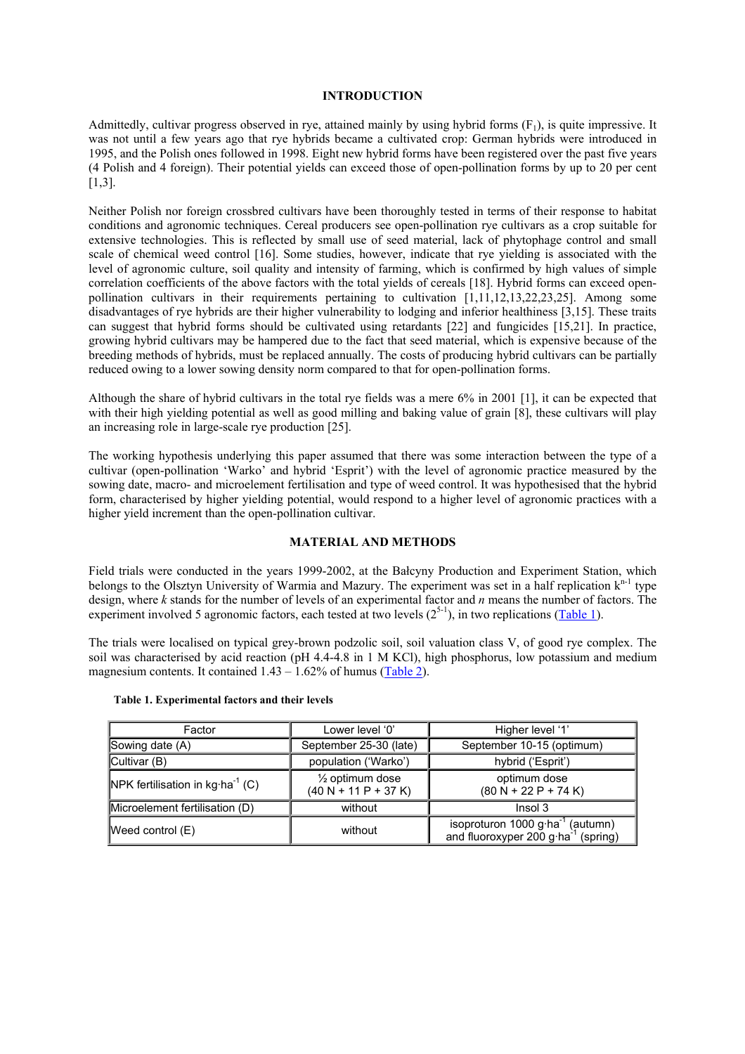#### **INTRODUCTION**

Admittedly, cultivar progress observed in rye, attained mainly by using hybrid forms  $(F_1)$ , is quite impressive. It was not until a few years ago that rye hybrids became a cultivated crop: German hybrids were introduced in 1995, and the Polish ones followed in 1998. Eight new hybrid forms have been registered over the past five years (4 Polish and 4 foreign). Their potential yields can exceed those of open-pollination forms by up to 20 per cent [1,3].

Neither Polish nor foreign crossbred cultivars have been thoroughly tested in terms of their response to habitat conditions and agronomic techniques. Cereal producers see open-pollination rye cultivars as a crop suitable for extensive technologies. This is reflected by small use of seed material, lack of phytophage control and small scale of chemical weed control [16]. Some studies, however, indicate that rye yielding is associated with the level of agronomic culture, soil quality and intensity of farming, which is confirmed by high values of simple correlation coefficients of the above factors with the total yields of cereals [18]. Hybrid forms can exceed openpollination cultivars in their requirements pertaining to cultivation  $[1,11,12,13,22,23,25]$ . Among some disadvantages of rye hybrids are their higher vulnerability to lodging and inferior healthiness [3,15]. These traits can suggest that hybrid forms should be cultivated using retardants [22] and fungicides [15,21]. In practice, growing hybrid cultivars may be hampered due to the fact that seed material, which is expensive because of the breeding methods of hybrids, must be replaced annually. The costs of producing hybrid cultivars can be partially reduced owing to a lower sowing density norm compared to that for open-pollination forms.

Although the share of hybrid cultivars in the total rye fields was a mere 6% in 2001 [1], it can be expected that with their high yielding potential as well as good milling and baking value of grain [8], these cultivars will play an increasing role in large-scale rye production [25].

The working hypothesis underlying this paper assumed that there was some interaction between the type of a cultivar (open-pollination 'Warko' and hybrid 'Esprit') with the level of agronomic practice measured by the sowing date, macro- and microelement fertilisation and type of weed control. It was hypothesised that the hybrid form, characterised by higher yielding potential, would respond to a higher level of agronomic practices with a higher yield increment than the open-pollination cultivar.

## **MATERIAL AND METHODS**

Field trials were conducted in the years 1999-2002, at the Bałcyny Production and Experiment Station, which belongs to the Olsztyn University of Warmia and Mazury. The experiment was set in a half replication  $k^{n-1}$  type design, where *k* stands for the number of levels of an experimental factor and *n* means the number of factors. The experiment involved 5 agronomic factors, each tested at two levels  $(2<sup>5-1</sup>)$ , in two replications (Table 1).

The trials were localised on typical grey-brown podzolic soil, soil valuation class V, of good rye complex. The soil was characterised by acid reaction (pH 4.4-4.8 in 1 M KCl), high phosphorus, low potassium and medium magnesium contents. It contained  $1.43 - 1.62\%$  of humus (Table 2).

| Factor                                             | Lower level '0'                                      | Higher level '1'                                                                         |
|----------------------------------------------------|------------------------------------------------------|------------------------------------------------------------------------------------------|
| Sowing date (A)                                    | September 25-30 (late)                               | September 10-15 (optimum)                                                                |
| Cultivar $(B)$                                     | population ('Warko')                                 | hybrid ('Esprit')                                                                        |
| <b>NPK</b> fertilisation in $kg \cdot ha^{-1}$ (C) | $\frac{1}{2}$ optimum dose<br>$(40 N + 11 P + 37 K)$ | optimum dose<br>$(80 N + 22 P + 74 K)$                                                   |
| Microelement fertilisation (D)                     | without                                              | Insol 3                                                                                  |
| <b>Meed control <math>(E)</math></b>               | without                                              | isoproturon 1000 $g \cdot ha^{-1}$ (autumn)<br>and fluoroxyper 200 g ha $^{-1}$ (spring) |

#### **Table 1. Experimental factors and their levels**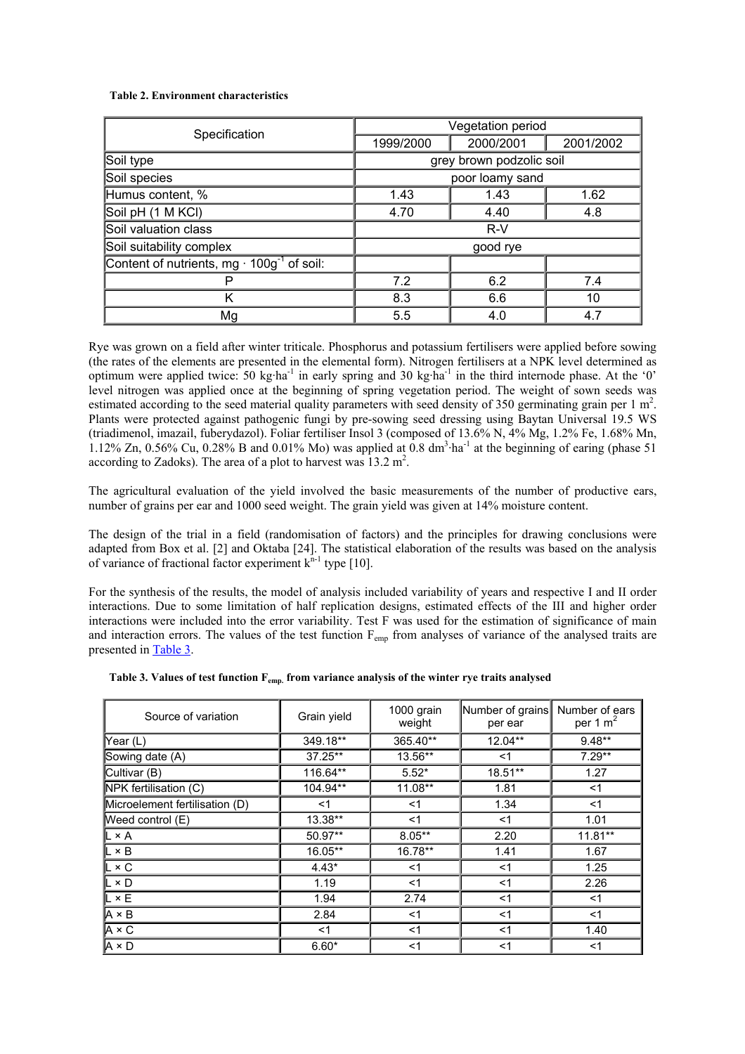### **Table 2. Environment characteristics**

| Specification                                                            | Vegetation period    |                          |           |  |
|--------------------------------------------------------------------------|----------------------|--------------------------|-----------|--|
|                                                                          | 1999/2000            | 2000/2001                | 2001/2002 |  |
| Soil type                                                                |                      | grey brown podzolic soil |           |  |
| Soil species                                                             | poor loamy sand      |                          |           |  |
| Humus content, %                                                         | 1.62<br>1.43<br>1.43 |                          |           |  |
| Soil pH (1 M KCI)                                                        | 4.70                 | 4.40                     | 4.8       |  |
| Soil valuation class                                                     | $R-V$                |                          |           |  |
| Soil suitability complex                                                 | good rye             |                          |           |  |
| Content of nutrients, mg $\cdot$ 100 $\overline{g}^{\text{-}1}$ of soil: |                      |                          |           |  |
|                                                                          | 7.2                  | 6.2                      | 7.4       |  |
| Κ                                                                        | 8.3                  | 6.6                      | 10        |  |
| Mg                                                                       | 5.5                  | 4.0                      | 4.7       |  |

Rye was grown on a field after winter triticale. Phosphorus and potassium fertilisers were applied before sowing (the rates of the elements are presented in the elemental form). Nitrogen fertilisers at a NPK level determined as optimum were applied twice: 50 kg·ha-1 in early spring and 30 kg·ha-1 in the third internode phase. At the '0' level nitrogen was applied once at the beginning of spring vegetation period. The weight of sown seeds was estimated according to the seed material quality parameters with seed density of 350 germinating grain per  $1 \text{ m}^2$ . Plants were protected against pathogenic fungi by pre-sowing seed dressing using Baytan Universal 19.5 WS (triadimenol, imazail, fuberydazol). Foliar fertiliser Insol 3 (composed of 13.6% N, 4% Mg, 1.2% Fe, 1.68% Mn, 1.12% Zn, 0.56% Cu, 0.28% B and 0.01% Mo) was applied at 0.8  $\text{dm}^3$  ha<sup>-1</sup> at the beginning of earing (phase 51) according to Zadoks). The area of a plot to harvest was  $13.2 \text{ m}^2$ .

The agricultural evaluation of the yield involved the basic measurements of the number of productive ears, number of grains per ear and 1000 seed weight. The grain yield was given at 14% moisture content.

The design of the trial in a field (randomisation of factors) and the principles for drawing conclusions were adapted from Box et al. [2] and Oktaba [24]. The statistical elaboration of the results was based on the analysis of variance of fractional factor experiment  $k^{n-1}$  type [10].

For the synthesis of the results, the model of analysis included variability of years and respective I and II order interactions. Due to some limitation of half replication designs, estimated effects of the III and higher order interactions were included into the error variability. Test F was used for the estimation of significance of main and interaction errors. The values of the test function F<sub>emp</sub> from analyses of variance of the analysed traits are presented in Table 3.

| Source of variation            | Grain yield | 1000 grain<br>weight | Number of grains<br>per ear | Number of ears<br>per 1 $m2$ |
|--------------------------------|-------------|----------------------|-----------------------------|------------------------------|
| Year (L)                       | 349.18**    | 365.40**             | 12.04**                     | $9.48**$                     |
| Sowing date (A)                | 37.25**     | 13.56**              | <1                          | $7.29**$                     |
| Cultivar (B)                   | 116.64**    | $5.52*$              | 18.51**                     | 1.27                         |
| NPK fertilisation (C)          | 104.94**    | 11.08**              | 1.81                        | $<$ 1                        |
| Microelement fertilisation (D) | $<$ 1       | <1                   | 1.34                        | $<$ 1                        |
| Weed control (E)               | 13.38**     | $<$ 1                | $<$ 1                       | 1.01                         |
| L×A                            | 50.97**     | $8.05***$            | 2.20                        | $11.81**$                    |
| $\mathsf{L} \times \mathsf{B}$ | 16.05**     | 16.78**              | 1.41                        | 1.67                         |
| $\mathsf{L} \times \mathsf{C}$ | $4.43*$     | $<$ 1                | $<$ 1                       | 1.25                         |
| $\mathsf{L} \times \mathsf{D}$ | 1.19        | $<$ 1                | $<$ 1                       | 2.26                         |
| L×E                            | 1.94        | 2.74                 | $<$ 1                       | $<$ 1                        |
| $A \times B$                   | 2.84        | <1                   | $<$ 1                       | $<$ 1                        |
| A×C                            | $<$ 1       | $<$ 1                | $<$ 1                       | 1.40                         |
| A × D                          | $6.60*$     | $<$ 1                | $<$ 1                       | $<$ 1                        |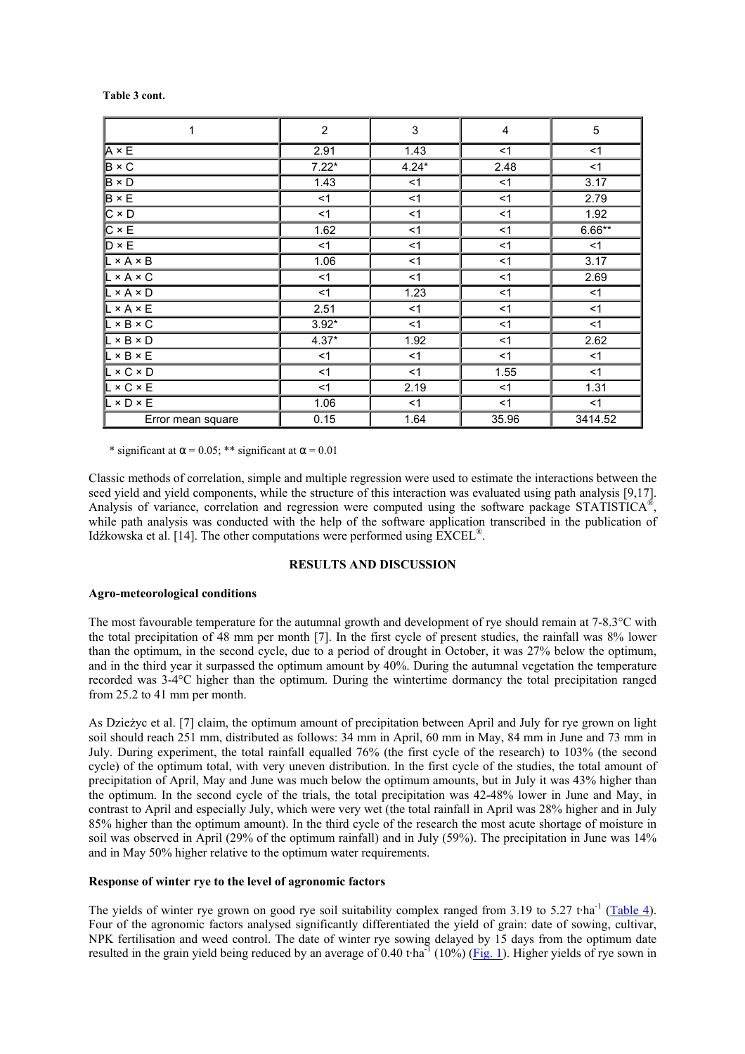| 1                     | $\overline{2}$ | $\mathsf 3$ | $\overline{\mathbf{4}}$ | $\mathbf 5$ |
|-----------------------|----------------|-------------|-------------------------|-------------|
| $A \times E$          | 2.91           | 1.43        | $<$ 1                   | $<$ 1       |
| $B \times C$          | $7.22*$        | $4.24*$     | 2.48                    | $<$ 1       |
| $B \times D$          | 1.43           | <1          | $<$ 1                   | 3.17        |
| $B \times E$          | $<$ 1          | < 1         | $<$ 1                   | 2.79        |
| $C \times D$          | < 1            | < 1         | $<$ 1                   | 1.92        |
| $C \times E$          | 1.62           | < 1         | $<$ 1                   | $6.66**$    |
| $D \times E$          | $<$ 1          | < 1         | $<$ 1                   | <1          |
| $L \times A \times B$ | 1.06           | $<$ 1       | $<$ 1                   | 3.17        |
| $L \times A \times C$ | $<$ 1          | <1          | $<$ 1                   | 2.69        |
| $L \times A \times D$ | < 1            | 1.23        | < 1                     | $<$ 1       |
| $L \times A \times E$ | 2.51           | < 1         | < 1                     | < 1         |
| $L \times B \times C$ | $3.92*$        | < 1         | $<$ 1                   | $<$ 1       |
| $L \times B \times D$ | $4.37*$        | 1.92        | $<$ 1                   | 2.62        |
| $L \times B \times E$ | $<$ 1          | <1          | < 1                     | <1          |
| $L \times C \times D$ | < 1            | $<$ 1       | 1.55                    | <1          |
| $L \times C \times E$ | $<$ 1          | 2.19        | $<$ 1                   | 1.31        |
| $L \times D \times E$ | 1.06           | $<$ 1       | $<$ 1                   | $<$ 1       |
| Error mean square     | 0.15           | 1.64        | 35.96                   | 3414.52     |

 **Table 3 cont.**

\* significant at  $\alpha$  = 0.05; \*\* significant at  $\alpha$  = 0.01

Classic methods of correlation, simple and multiple regression were used to estimate the interactions between the seed yield and yield components, while the structure of this interaction was evaluated using path analysis [9,17]. Analysis of variance, correlation and regression were computed using the software package STATISTICA®, while path analysis was conducted with the help of the software application transcribed in the publication of Idźkowska et al. [14]. The other computations were performed using EXCEL®.

#### **RESULTS AND DISCUSSION**

## **Agro-meteorological conditions**

The most favourable temperature for the autumnal growth and development of rye should remain at 7-8.3°C with the total precipitation of 48 mm per month [7]. In the first cycle of present studies, the rainfall was 8% lower than the optimum, in the second cycle, due to a period of drought in October, it was 27% below the optimum, and in the third year it surpassed the optimum amount by 40%. During the autumnal vegetation the temperature recorded was 3-4°C higher than the optimum. During the wintertime dormancy the total precipitation ranged from 25.2 to 41 mm per month.

As Dzieżyc et al. [7] claim, the optimum amount of precipitation between April and July for rye grown on light soil should reach 251 mm, distributed as follows: 34 mm in April, 60 mm in May, 84 mm in June and 73 mm in July. During experiment, the total rainfall equalled 76% (the first cycle of the research) to 103% (the second cycle) of the optimum total, with very uneven distribution. In the first cycle of the studies, the total amount of precipitation of April, May and June was much below the optimum amounts, but in July it was 43% higher than the optimum. In the second cycle of the trials, the total precipitation was 42-48% lower in June and May, in contrast to April and especially July, which were very wet (the total rainfall in April was 28% higher and in July 85% higher than the optimum amount). In the third cycle of the research the most acute shortage of moisture in soil was observed in April (29% of the optimum rainfall) and in July (59%). The precipitation in June was 14% and in May 50% higher relative to the optimum water requirements.

## **Response of winter rye to the level of agronomic factors**

The yields of winter rye grown on good rye soil suitability complex ranged from 3.19 to 5.27 t·ha<sup>-1</sup> (Table 4). Four of the agronomic factors analysed significantly differentiated the yield of grain: date of sowing, cultivar, NPK fertilisation and weed control. The date of winter rye sowing delayed by 15 days from the optimum date resulted in the grain yield being reduced by an average of 0.40 t·ha<sup>-1</sup> (10%) ( $\overline{Fig. 1}$ ). Higher yields of rye sown in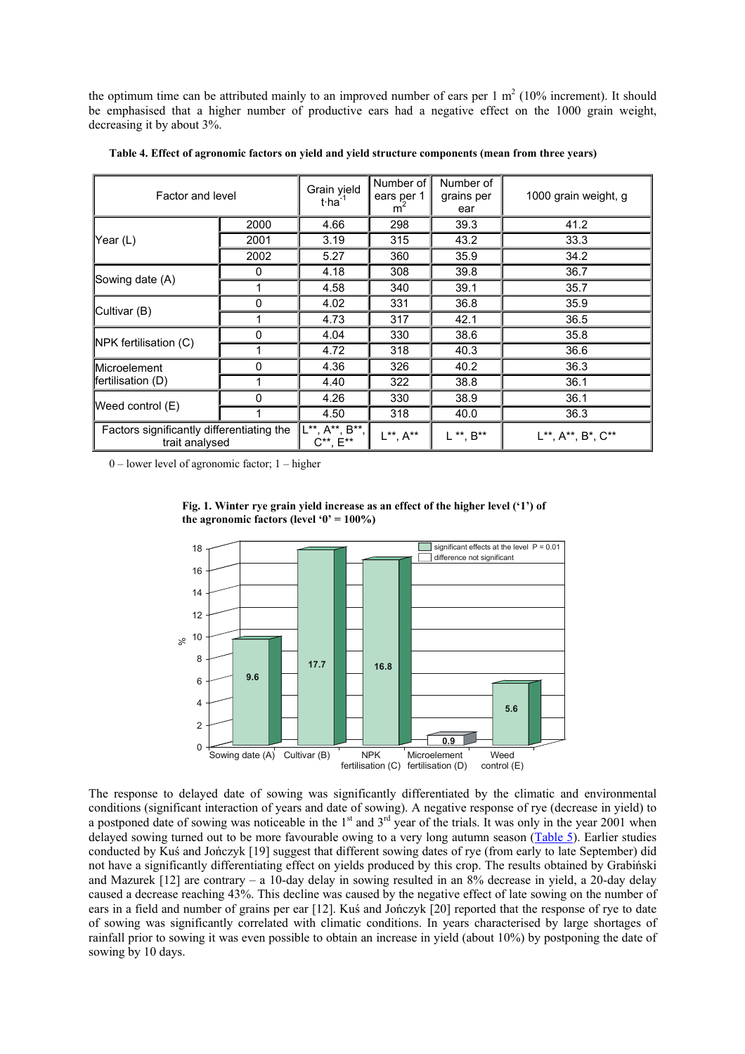the optimum time can be attributed mainly to an improved number of ears per  $1 \text{ m}^2$  (10% increment). It should be emphasised that a higher number of productive ears had a negative effect on the 1000 grain weight, decreasing it by about 3%.

| Factor and level                                            |          | Grain yield<br>$t$ ·ha <sup>-1</sup>  | Number of<br>ears per 1<br>m | Number of<br>grains per<br>ear | 1000 grain weight, g |
|-------------------------------------------------------------|----------|---------------------------------------|------------------------------|--------------------------------|----------------------|
|                                                             | 2000     | 4.66                                  | 298                          | 39.3                           | 41.2                 |
| Year (L)                                                    | 2001     | 3.19                                  | 315                          | 43.2                           | 33.3                 |
|                                                             | 2002     | 5.27                                  | 360                          | 35.9                           | 34.2                 |
|                                                             | 0        | 4.18                                  | 308                          | 39.8                           | 36.7                 |
| Sowing date (A)                                             | 1        | 4.58                                  | 340                          | 39.1                           | 35.7                 |
| Cultivar (B)                                                | $\Omega$ | 4.02                                  | 331                          | 36.8                           | 35.9                 |
|                                                             | 1        | 4.73                                  | 317                          | 42.1                           | 36.5                 |
| NPK fertilisation (C)                                       | 0        | 4.04                                  | 330                          | 38.6                           | 35.8                 |
|                                                             |          | 4.72                                  | 318                          | 40.3                           | 36.6                 |
| Microelement                                                | 0        | 4.36                                  | 326                          | 40.2                           | 36.3                 |
| fertilisation (D)                                           | 1        | 4.40                                  | 322                          | 38.8                           | 36.1                 |
| Weed control (E)                                            | $\Omega$ | 4.26                                  | 330                          | 38.9                           | 36.1                 |
|                                                             |          | 4.50                                  | 318                          | 40.0                           | 36.3                 |
| Factors significantly differentiating the<br>trait analysed |          | L**, A**, B**,<br>$C^{**}$ , $E^{**}$ | $L^{**}$ , $A^{**}$          | $L^{**}$ , $B^{**}$            | L**, A**, B*, C**    |

**Table 4. Effect of agronomic factors on yield and yield structure components (mean from three years)**

0 – lower level of agronomic factor; 1 – higher



**Fig. 1. Winter rye grain yield increase as an effect of the higher level ('1') of** the agronomic factors (level  $0' = 100\%$ )

The response to delayed date of sowing was significantly differentiated by the climatic and environmental conditions (significant interaction of years and date of sowing). A negative response of rye (decrease in yield) to a postponed date of sowing was noticeable in the  $1<sup>st</sup>$  and  $3<sup>rd</sup>$  year of the trials. It was only in the year 2001 when delayed sowing turned out to be more favourable owing to a very long autumn season (Table 5). Earlier studies conducted by Kuś and Jończyk [19] suggest that different sowing dates of rye (from early to late September) did not have a significantly differentiating effect on yields produced by this crop. The results obtained by Grabiński and Mazurek [12] are contrary – a 10-day delay in sowing resulted in an 8% decrease in yield, a 20-day delay caused a decrease reaching 43%. This decline was caused by the negative effect of late sowing on the number of ears in a field and number of grains per ear [12]. Kuś and Jończyk [20] reported that the response of rye to date of sowing was significantly correlated with climatic conditions. In years characterised by large shortages of rainfall prior to sowing it was even possible to obtain an increase in yield (about 10%) by postponing the date of sowing by 10 days.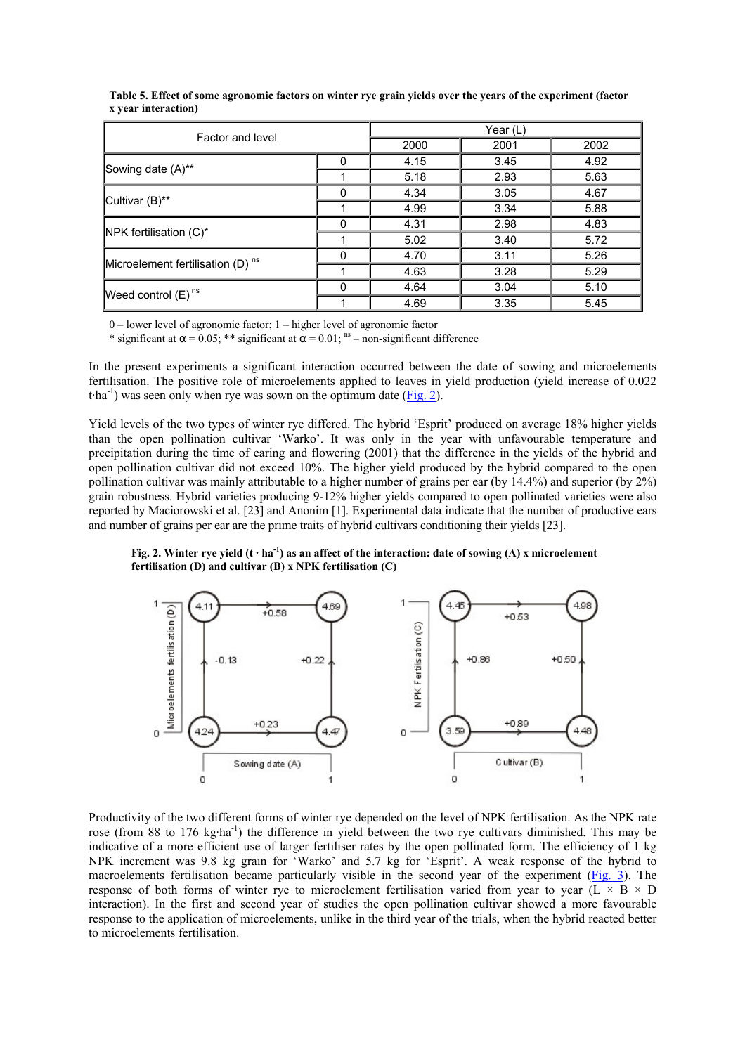| Factor and level                             |                                                                     | Year (L) |      |      |  |
|----------------------------------------------|---------------------------------------------------------------------|----------|------|------|--|
|                                              |                                                                     | 2000     | 2001 | 2002 |  |
|                                              | 0                                                                   | 4.15     | 3.45 | 4.92 |  |
| Sowing date (A)**                            |                                                                     | 5.18     | 2.93 | 5.63 |  |
| Cultivar (B)**                               | 0                                                                   | 4.34     | 3.05 | 4.67 |  |
|                                              | 4.99<br>4.31<br>O<br>5.02<br>4.70<br>O<br>4.63<br>4.64<br>O<br>4.69 | 3.34     | 5.88 |      |  |
| NPK fertilisation (C)*                       |                                                                     |          | 2.98 | 4.83 |  |
|                                              |                                                                     |          | 3.40 | 5.72 |  |
| Microelement fertilisation (D) <sup>ns</sup> |                                                                     |          | 3.11 | 5.26 |  |
|                                              |                                                                     |          | 3.28 | 5.29 |  |
| Weed control $(E)$ <sup>ns</sup>             |                                                                     |          | 3.04 | 5.10 |  |
|                                              |                                                                     |          | 3.35 | 5.45 |  |

**Table 5. Effect of some agronomic factors on winter rye grain yields over the years of the experiment (factor x year interaction)**

0 – lower level of agronomic factor; 1 – higher level of agronomic factor

\* significant at  $\alpha = 0.05$ ; \*\* significant at  $\alpha = 0.01$ ; <sup>ns</sup> – non-significant difference

In the present experiments a significant interaction occurred between the date of sowing and microelements fertilisation. The positive role of microelements applied to leaves in yield production (yield increase of 0.022 t $\cdot$ ha<sup>-1</sup>) was seen only when rye was sown on the optimum date (Fig. 2).

Yield levels of the two types of winter rye differed. The hybrid 'Esprit' produced on average 18% higher yields than the open pollination cultivar 'Warko'. It was only in the year with unfavourable temperature and precipitation during the time of earing and flowering (2001) that the difference in the yields of the hybrid and open pollination cultivar did not exceed 10%. The higher yield produced by the hybrid compared to the open pollination cultivar was mainly attributable to a higher number of grains per ear (by 14.4%) and superior (by 2%) grain robustness. Hybrid varieties producing 9-12% higher yields compared to open pollinated varieties were also reported by Maciorowski et al. [23] and Anonim [1]. Experimental data indicate that the number of productive ears and number of grains per ear are the prime traits of hybrid cultivars conditioning their yields [23].

Fig. 2. Winter rye yield  $(t \cdot ha^{-1})$  as an affect of the interaction: date of sowing (A) x microelement **fertilisation (D) and cultivar (B) x NPK fertilisation (C)**



Productivity of the two different forms of winter rye depended on the level of NPK fertilisation. As the NPK rate rose (from 88 to 176 kg·ha<sup>-1</sup>) the difference in yield between the two rye cultivars diminished. This may be indicative of a more efficient use of larger fertiliser rates by the open pollinated form. The efficiency of 1 kg NPK increment was 9.8 kg grain for 'Warko' and 5.7 kg for 'Esprit'. A weak response of the hybrid to macroelements fertilisation became particularly visible in the second year of the experiment (Fig. 3). The response of both forms of winter rye to microelement fertilisation varied from year to year (L  $\times$  B  $\times$  D interaction). In the first and second year of studies the open pollination cultivar showed a more favourable response to the application of microelements, unlike in the third year of the trials, when the hybrid reacted better to microelements fertilisation.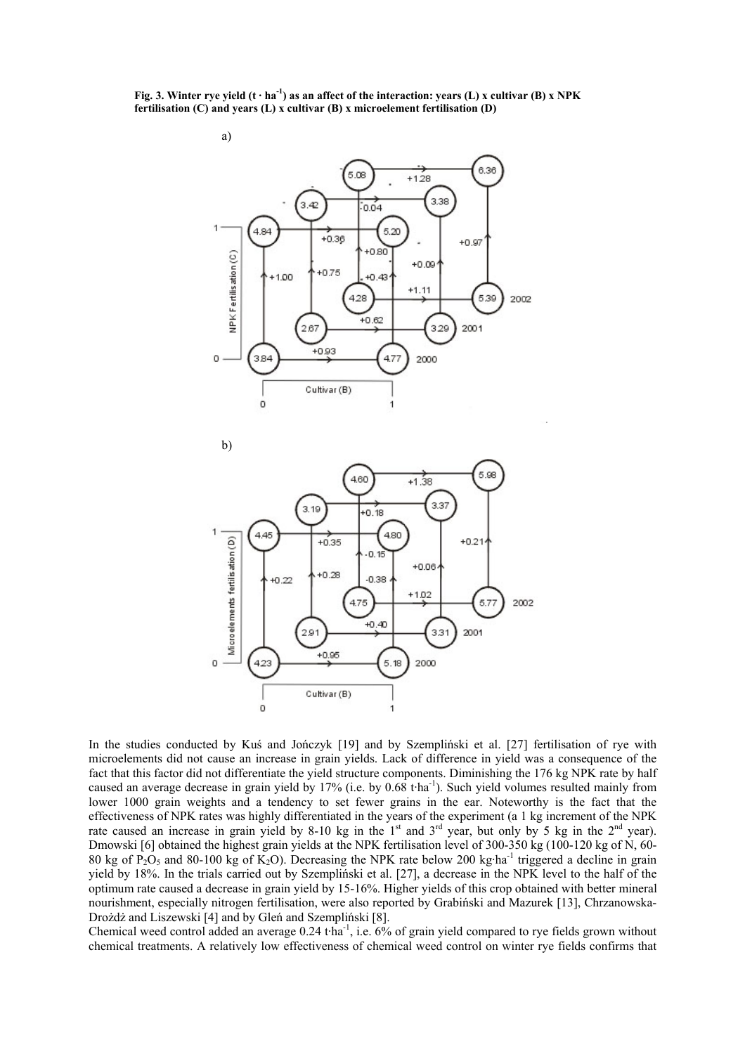Fig. 3. Winter rye yield  $(t \cdot ha^{-1})$  as an affect of the interaction: years (L) x cultivar (B) x NPK **fertilisation (C) and years (L) x cultivar (B) x microelement fertilisation (D)**



In the studies conducted by Kuś and Jończyk [19] and by Szempliński et al. [27] fertilisation of rye with microelements did not cause an increase in grain yields. Lack of difference in yield was a consequence of the fact that this factor did not differentiate the yield structure components. Diminishing the 176 kg NPK rate by half caused an average decrease in grain yield by 17% (i.e. by 0.68 t·ha-1). Such yield volumes resulted mainly from lower 1000 grain weights and a tendency to set fewer grains in the ear. Noteworthy is the fact that the effectiveness of NPK rates was highly differentiated in the years of the experiment (a 1 kg increment of the NPK rate caused an increase in grain yield by 8-10 kg in the  $1<sup>st</sup>$  and  $3<sup>rd</sup>$  year, but only by 5 kg in the  $2<sup>nd</sup>$  year). Dmowski [6] obtained the highest grain yields at the NPK fertilisation level of 300-350 kg (100-120 kg of N, 60- 80 kg of P<sub>2</sub>O<sub>5</sub> and 80-100 kg of K<sub>2</sub>O). Decreasing the NPK rate below 200 kg·ha<sup>-1</sup> triggered a decline in grain yield by 18%. In the trials carried out by Szempliński et al. [27], a decrease in the NPK level to the half of the optimum rate caused a decrease in grain yield by 15-16%. Higher yields of this crop obtained with better mineral nourishment, especially nitrogen fertilisation, were also reported by Grabiński and Mazurek [13], Chrzanowska-Drożdż and Liszewski [4] and by Gleń and Szempliński [8].

Chemical weed control added an average  $0.24$  t·ha<sup>-1</sup>, i.e. 6% of grain yield compared to rye fields grown without chemical treatments. A relatively low effectiveness of chemical weed control on winter rye fields confirms that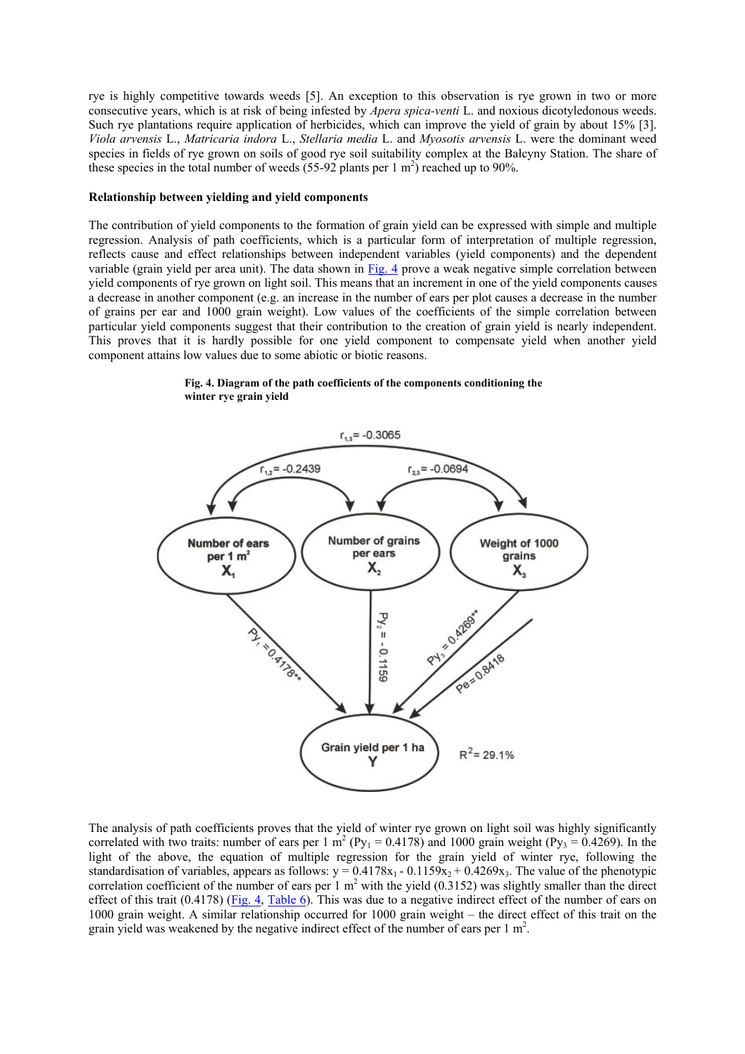rye is highly competitive towards weeds [5]. An exception to this observation is rye grown in two or more consecutive years, which is at risk of being infested by *Apera spica-venti* L. and noxious dicotyledonous weeds. Such rye plantations require application of herbicides, which can improve the yield of grain by about 15% [3]. *Viola arvensis* L., *Matricaria indora* L., *Stellaria media* L. and *Myosotis arvensis* L. were the dominant weed species in fields of rye grown on soils of good rye soil suitability complex at the Bałcyny Station. The share of these species in the total number of weeds  $(55-92 \text{ plants per } 1 \text{ m}^2)$  reached up to 90%.

#### **Relationship between yielding and yield components**

The contribution of yield components to the formation of grain yield can be expressed with simple and multiple regression. Analysis of path coefficients, which is a particular form of interpretation of multiple regression, reflects cause and effect relationships between independent variables (yield components) and the dependent variable (grain yield per area unit). The data shown in Fig. 4 prove a weak negative simple correlation between yield components of rye grown on light soil. This means that an increment in one of the yield components causes a decrease in another component (e.g. an increase in the number of ears per plot causes a decrease in the number of grains per ear and 1000 grain weight). Low values of the coefficients of the simple correlation between particular yield components suggest that their contribution to the creation of grain yield is nearly independent. This proves that it is hardly possible for one yield component to compensate yield when another yield component attains low values due to some abiotic or biotic reasons.



**Fig. 4. Diagram of the path coefficients of the components conditioning the winter rye grain yield**

The analysis of path coefficients proves that the yield of winter rye grown on light soil was highly significantly correlated with two traits: number of ears per 1 m<sup>2</sup> (Py<sub>1</sub> = 0.4178) and 1000 grain weight (Py<sub>3</sub> = 0.4269). In the light of the above, the equation of multiple regression for the grain yield of winter rye, following the standardisation of variables, appears as follows:  $y = 0.4178x_1 - 0.1159x_2 + 0.4269x_3$ . The value of the phenotypic correlation coefficient of the number of ears per  $1 \text{ m}^2$  with the yield (0.3152) was slightly smaller than the direct effect of this trait (0.4178) (Fig. 4, Table 6). This was due to a negative indirect effect of the number of ears on 1000 grain weight. A similar relationship occurred for 1000 grain weight – the direct effect of this trait on the grain yield was weakened by the negative indirect effect of the number of ears per  $1 \text{ m}^2$ .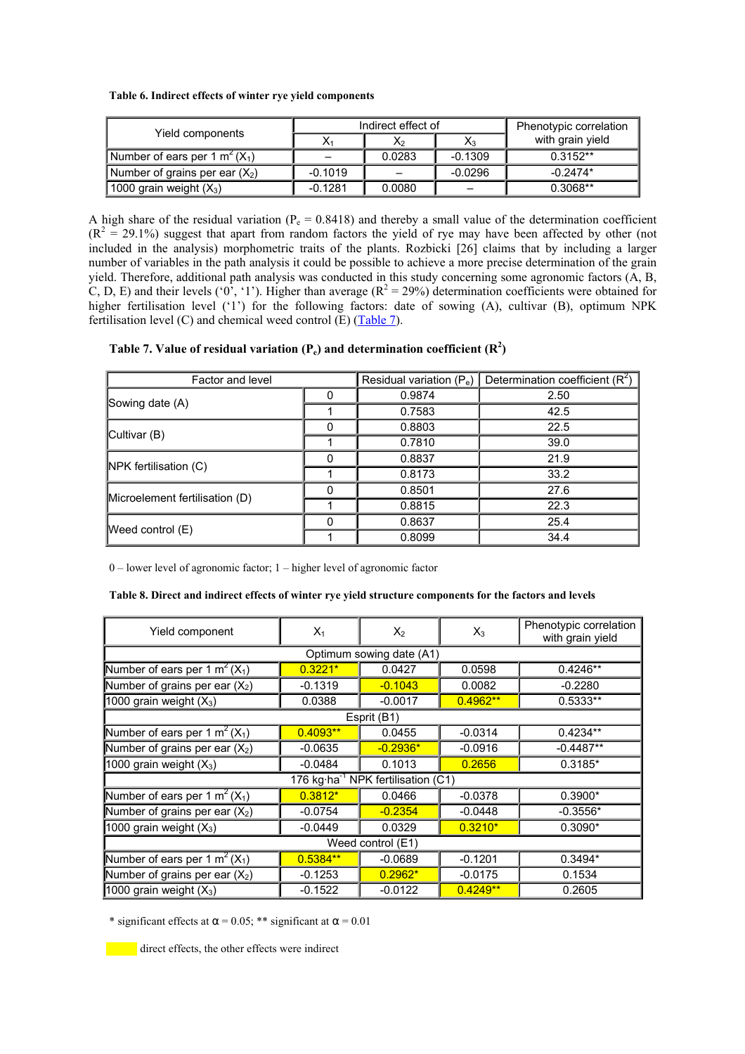| Table 6. Indirect effects of winter rye yield components |  |  |  |  |
|----------------------------------------------------------|--|--|--|--|
|----------------------------------------------------------|--|--|--|--|

| Yield components                 | Indirect effect of |        |           | Phenotypic correlation |
|----------------------------------|--------------------|--------|-----------|------------------------|
|                                  |                    | X2     | X3        | with grain yield       |
| Number of ears per 1 $m^2(X_1)$  |                    | 0.0283 | $-0.1309$ | $0.3152**$             |
| Number of grains per ear $(X_2)$ | $-0.1019$          |        | $-0.0296$ | $-0.2474*$             |
| 1000 grain weight $(X_3)$        | $-0.1281$          | 0.0080 |           | $0.3068**$             |

A high share of the residual variation ( $P_e = 0.8418$ ) and thereby a small value of the determination coefficient  $(R<sup>2</sup> = 29.1%)$  suggest that apart from random factors the yield of rye may have been affected by other (not included in the analysis) morphometric traits of the plants. Rozbicki [26] claims that by including a larger number of variables in the path analysis it could be possible to achieve a more precise determination of the grain yield. Therefore, additional path analysis was conducted in this study concerning some agronomic factors (A, B, C, D, E) and their levels ('0', '1'). Higher than average ( $R^2 = 29\%$ ) determination coefficients were obtained for higher fertilisation level ('1') for the following factors: date of sowing (A), cultivar (B), optimum NPK fertilisation level (C) and chemical weed control (E)  $(Table 7)$ .

| Table 7. Value of residual variation ( $P_e$ ) and determination coefficient ( $\mathbb{R}^2$ ) |  |  |
|-------------------------------------------------------------------------------------------------|--|--|
|-------------------------------------------------------------------------------------------------|--|--|

| Factor and level               |          | Residual variation (Pe) | Determination coefficient $(R^2)$ |
|--------------------------------|----------|-------------------------|-----------------------------------|
|                                |          | 0.9874                  | 2.50                              |
| Sowing date $(A)$              |          | 0.7583                  | 42.5                              |
| Cultivar (B)                   |          | 0.8803                  | 22.5                              |
|                                |          | 0.7810                  | 39.0                              |
| NPK fertilisation (C)          | $\Omega$ | 0.8837                  | 21.9                              |
|                                |          | 0.8173                  | 33.2                              |
| Microelement fertilisation (D) |          | 0.8501                  | 27.6                              |
|                                |          | 0.8815                  | 22.3                              |
|                                | ŋ        | 0.8637                  | 25.4                              |
| Weed control $(E)$             |          | 0.8099                  | 34.4                              |

0 – lower level of agronomic factor; 1 – higher level of agronomic factor

| Yield component                                        | $X_1$      | $X_2$      | $X_3$      | Phenotypic correlation<br>with grain yield |
|--------------------------------------------------------|------------|------------|------------|--------------------------------------------|
| Optimum sowing date (A1)                               |            |            |            |                                            |
| Number of ears per 1 m <sup>2</sup> (X <sub>1</sub> )  | $0.3221*$  | 0.0427     | 0.0598     | $0.4246**$                                 |
| Number of grains per ear $(X_2)$                       | $-0.1319$  | $-0.1043$  | 0.0082     | $-0.2280$                                  |
| 1000 grain weight $(X_3)$                              | 0.0388     | $-0.0017$  | $0.4962**$ | 0.5333**                                   |
| Esprit (B1)                                            |            |            |            |                                            |
| Number of ears per 1 m <sup>2</sup> (X <sub>1</sub> )  | $0.4093**$ | 0.0455     | $-0.0314$  | $0.4234**$                                 |
| Number of grains per ear $(X_2)$                       | $-0.0635$  | $-0.2936*$ | $-0.0916$  | $-0.4487**$                                |
| 1000 grain weight $(X_3)$                              | $-0.0484$  | 0.1013     | 0.2656     | 0.3185*                                    |
| 176 kg $\cdot$ ha <sup>-1</sup> NPK fertilisation (C1) |            |            |            |                                            |
| Number of ears per 1 m <sup>2</sup> (X <sub>1</sub> )  | $0.3812*$  | 0.0466     | $-0.0378$  | $0.3900*$                                  |
| Number of grains per ear $(X_2)$                       | $-0.0754$  | $-0.2354$  | $-0.0448$  | $-0.3556*$                                 |
| 1000 grain weight $(X_3)$                              | $-0.0449$  | 0.0329     | $0.3210*$  | $0.3090*$                                  |
| Weed control (E1)                                      |            |            |            |                                            |
| Number of ears per 1 m <sup>2</sup> (X <sub>1</sub> )  | $0.5384**$ | $-0.0689$  | $-0.1201$  | $0.3494*$                                  |
| Number of grains per ear $(X_2)$                       | $-0.1253$  | $0.2962*$  | $-0.0175$  | 0.1534                                     |
| 1000 grain weight $(X_3)$                              | $-0.1522$  | $-0.0122$  | $0.4249**$ | 0.2605                                     |

\* significant effects at  $\alpha$  = 0.05; \*\* significant at  $\alpha$  = 0.01

direct effects, the other effects were indirect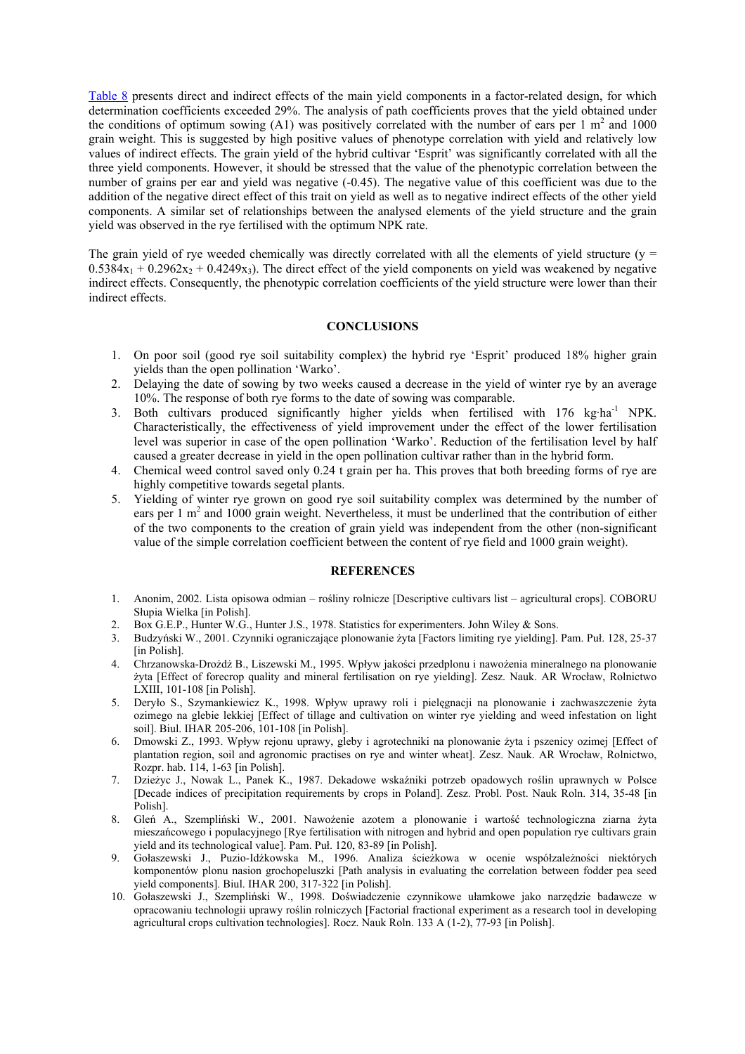Table 8 presents direct and indirect effects of the main yield components in a factor-related design, for which determination coefficients exceeded 29%. The analysis of path coefficients proves that the yield obtained under the conditions of optimum sowing (A1) was positively correlated with the number of ears per  $1 \text{ m}^2$  and  $1000$ grain weight. This is suggested by high positive values of phenotype correlation with yield and relatively low values of indirect effects. The grain yield of the hybrid cultivar 'Esprit' was significantly correlated with all the three yield components. However, it should be stressed that the value of the phenotypic correlation between the number of grains per ear and yield was negative (-0.45). The negative value of this coefficient was due to the addition of the negative direct effect of this trait on yield as well as to negative indirect effects of the other yield components. A similar set of relationships between the analysed elements of the yield structure and the grain yield was observed in the rye fertilised with the optimum NPK rate.

The grain yield of rye weeded chemically was directly correlated with all the elements of yield structure ( $y =$  $0.5384x_1 + 0.2962x_2 + 0.4249x_3$ . The direct effect of the yield components on yield was weakened by negative indirect effects. Consequently, the phenotypic correlation coefficients of the yield structure were lower than their indirect effects.

## **CONCLUSIONS**

- 1. On poor soil (good rye soil suitability complex) the hybrid rye 'Esprit' produced 18% higher grain yields than the open pollination 'Warko'.
- 2. Delaying the date of sowing by two weeks caused a decrease in the yield of winter rye by an average 10%. The response of both rye forms to the date of sowing was comparable.
- 3. Both cultivars produced significantly higher yields when fertilised with 176 kg·ha<sup>-1</sup> NPK. Characteristically, the effectiveness of yield improvement under the effect of the lower fertilisation level was superior in case of the open pollination 'Warko'. Reduction of the fertilisation level by half caused a greater decrease in yield in the open pollination cultivar rather than in the hybrid form.
- 4. Chemical weed control saved only 0.24 t grain per ha. This proves that both breeding forms of rye are highly competitive towards segetal plants.
- 5. Yielding of winter rye grown on good rye soil suitability complex was determined by the number of ears per 1 m<sup>2</sup> and 1000 grain weight. Nevertheless, it must be underlined that the contribution of either of the two components to the creation of grain yield was independent from the other (non-significant value of the simple correlation coefficient between the content of rye field and 1000 grain weight).

#### **REFERENCES**

- 1. Anonim, 2002. Lista opisowa odmian rośliny rolnicze [Descriptive cultivars list agricultural crops]. COBORU Słupia Wielka [in Polish].
- 2. Box G.E.P., Hunter W.G., Hunter J.S., 1978. Statistics for experimenters. John Wiley & Sons.
- 3. Budzyński W., 2001. Czynniki ograniczające plonowanie żyta [Factors limiting rye yielding]. Pam. Puł. 128, 25-37 [in Polish].
- 4. Chrzanowska-Drożdż B., Liszewski M., 1995. Wpływ jakości przedplonu i nawożenia mineralnego na plonowanie żyta [Effect of forecrop quality and mineral fertilisation on rye yielding]. Zesz. Nauk. AR Wrocław, Rolnictwo LXIII, 101-108 [in Polish].
- 5. Deryło S., Szymankiewicz K., 1998. Wpływ uprawy roli i pielęgnacji na plonowanie i zachwaszczenie żyta ozimego na glebie lekkiej [Effect of tillage and cultivation on winter rye yielding and weed infestation on light soil]. Biul. IHAR 205-206, 101-108 [in Polish].
- 6. Dmowski Z., 1993. Wpływ rejonu uprawy, gleby i agrotechniki na plonowanie żyta i pszenicy ozimej [Effect of plantation region, soil and agronomic practises on rye and winter wheat]. Zesz. Nauk. AR Wrocław, Rolnictwo, Rozpr. hab. 114, 1-63 [in Polish].
- 7. Dzieżyc J., Nowak L., Panek K., 1987. Dekadowe wskaźniki potrzeb opadowych roślin uprawnych w Polsce [Decade indices of precipitation requirements by crops in Poland]. Zesz. Probl. Post. Nauk Roln. 314, 35-48 [in Polish].
- 8. Gleń A., Szempliński W., 2001. Nawożenie azotem a plonowanie i wartość technologiczna ziarna żyta mieszańcowego i populacyjnego [Rye fertilisation with nitrogen and hybrid and open population rye cultivars grain yield and its technological value]. Pam. Puł. 120, 83-89 [in Polish].
- 9. Gołaszewski J., Puzio-Idźkowska M., 1996. Analiza ścieżkowa w ocenie współzależności niektórych komponentów plonu nasion grochopeluszki [Path analysis in evaluating the correlation between fodder pea seed yield components]. Biul. IHAR 200, 317-322 [in Polish].
- 10. Gołaszewski J., Szempliński W., 1998. Doświadczenie czynnikowe ułamkowe jako narzędzie badawcze w opracowaniu technologii uprawy roślin rolniczych [Factorial fractional experiment as a research tool in developing agricultural crops cultivation technologies]. Rocz. Nauk Roln. 133 A (1-2), 77-93 [in Polish].